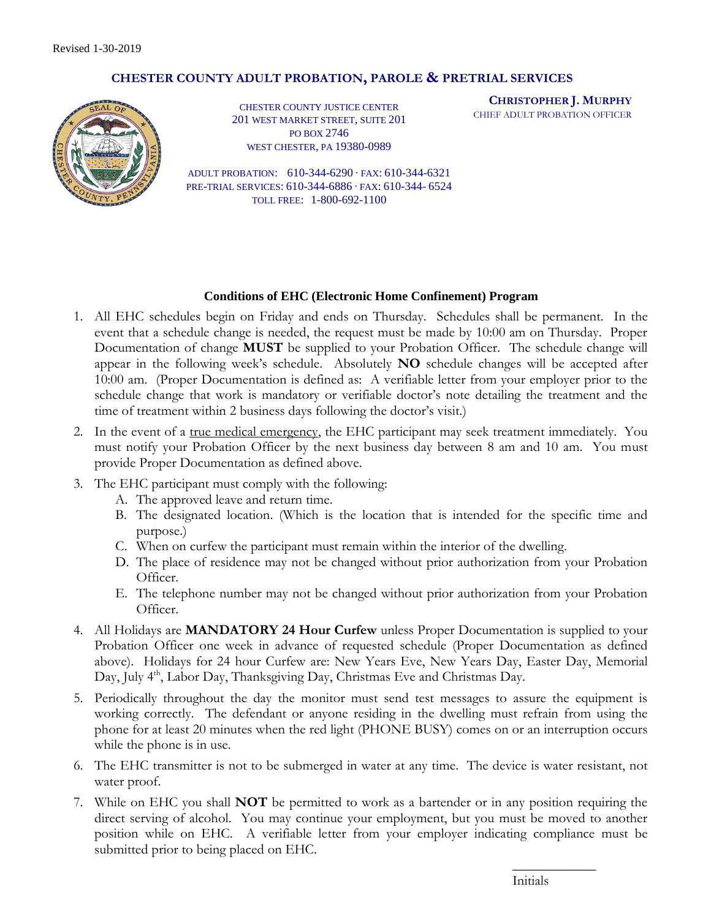## **CHESTER COUNTY ADULT PROBATION, PAROLE & PRETRIAL SERVICES**



CHESTER COUNTY JUSTICE CENTER 201 WEST MARKET STREET, SUITE 201 PO BOX 2746 WEST CHESTER, PA 19380-0989

**CHRISTOPHER J. MURPHY** CHIEF ADULT PROBATION OFFICER

ADULT PROBATION: 610-344-6290 ∙ FAX: 610-344-6321 PRE-TRIAL SERVICES: 610-344-6886 ∙ FAX: 610-344- 6524 TOLL FREE: 1-800-692-1100

## **Conditions of EHC (Electronic Home Confinement) Program**

- 1. All EHC schedules begin on Friday and ends on Thursday. Schedules shall be permanent. In the event that a schedule change is needed, the request must be made by 10:00 am on Thursday. Proper Documentation of change **MUST** be supplied to your Probation Officer. The schedule change will appear in the following week's schedule. Absolutely **NO** schedule changes will be accepted after 10:00 am. (Proper Documentation is defined as: A verifiable letter from your employer prior to the schedule change that work is mandatory or verifiable doctor's note detailing the treatment and the time of treatment within 2 business days following the doctor's visit.)
- 2. In the event of a <u>true medical emergency</u>, the EHC participant may seek treatment immediately. You must notify your Probation Officer by the next business day between 8 am and 10 am. You must provide Proper Documentation as defined above.
- 3. The EHC participant must comply with the following:
	- A. The approved leave and return time.
	- B. The designated location. (Which is the location that is intended for the specific time and purpose.)
	- C. When on curfew the participant must remain within the interior of the dwelling.
	- D. The place of residence may not be changed without prior authorization from your Probation Officer.
	- E. The telephone number may not be changed without prior authorization from your Probation Officer.
- 4. All Holidays are **MANDATORY 24 Hour Curfew** unless Proper Documentation is supplied to your Probation Officer one week in advance of requested schedule (Proper Documentation as defined above). Holidays for 24 hour Curfew are: New Years Eve, New Years Day, Easter Day, Memorial Day, July 4<sup>th</sup>, Labor Day, Thanksgiving Day, Christmas Eve and Christmas Day.
- 5. Periodically throughout the day the monitor must send test messages to assure the equipment is working correctly. The defendant or anyone residing in the dwelling must refrain from using the phone for at least 20 minutes when the red light (PHONE BUSY) comes on or an interruption occurs while the phone is in use.
- 6. The EHC transmitter is not to be submerged in water at any time. The device is water resistant, not water proof.
- 7. While on EHC you shall **NOT** be permitted to work as a bartender or in any position requiring the direct serving of alcohol. You may continue your employment, but you must be moved to another position while on EHC. A verifiable letter from your employer indicating compliance must be submitted prior to being placed on EHC.

Initials

 $\overline{\phantom{a}}$  , where  $\overline{\phantom{a}}$